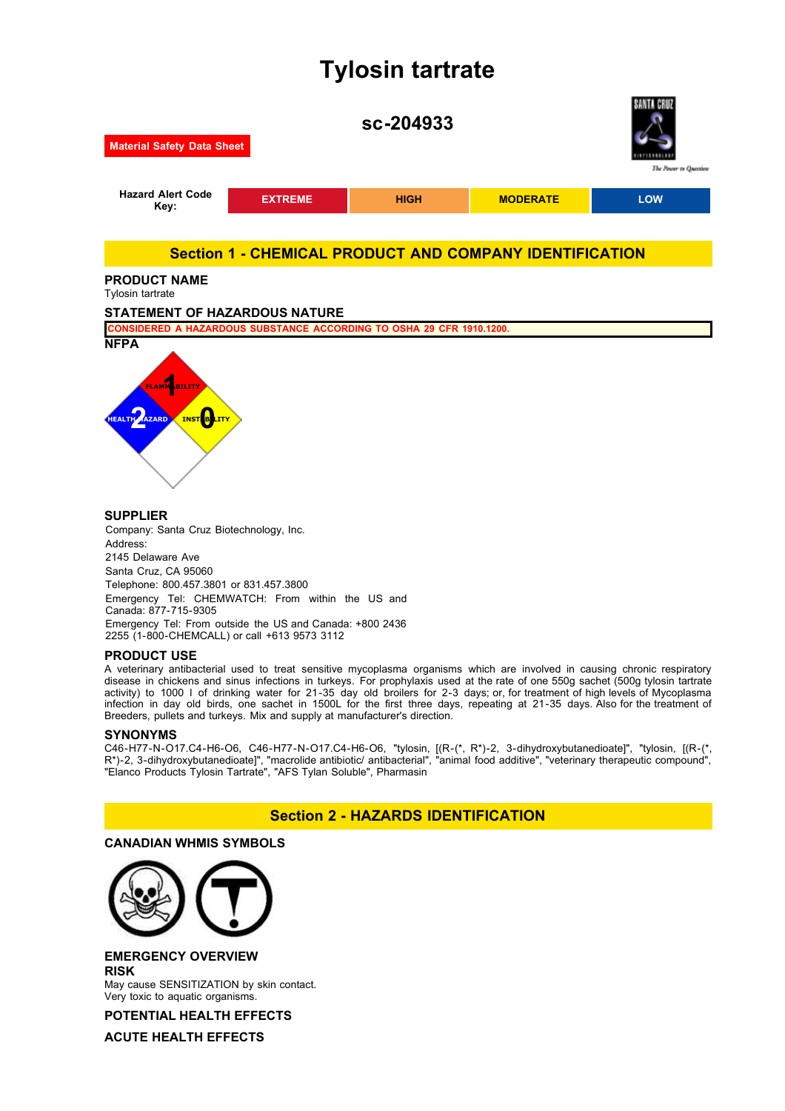# **Tylosin tartrate**



2145 Delaware Ave Santa Cruz, CA 95060 Telephone: 800.457.3801 or 831.457.3800 Emergency Tel: CHEMWATCH: From within the US and Canada: 877-715-9305 Emergency Tel: From outside the US and Canada: +800 2436 2255 (1-800-CHEMCALL) or call +613 9573 3112

# **PRODUCT USE**

A veterinary antibacterial used to treat sensitive mycoplasma organisms which are involved in causing chronic respiratory disease in chickens and sinus infections in turkeys. For prophylaxis used at the rate of one 550g sachet (500g tylosin tartrate activity) to 1000 l of drinking water for 21-35 day old broilers for 2-3 days; or, for treatment of high levels of Mycoplasma infection in day old birds, one sachet in 1500L for the first three days, repeating at 21-35 days. Also for the treatment of Breeders, pullets and turkeys. Mix and supply at manufacturer's direction.

#### **SYNONYMS**

C46-H77-N-O17.C4-H6-O6, C46-H77-N-O17.C4-H6-O6, "tylosin, [(R-(\*, R\*)-2, 3-dihydroxybutanedioate]", "tylosin, [(R-(\*, R\*)-2, 3-dihydroxybutanedioate]", "macrolide antibiotic/ antibacterial", "animal food additive", "veterinary therapeutic compound", "Elanco Products Tylosin Tartrate", "AFS Tylan Soluble", Pharmasin

# **Section 2 - HAZARDS IDENTIFICATION**

# **CANADIAN WHMIS SYMBOLS**



# **EMERGENCY OVERVIEW RISK**

May cause SENSITIZATION by skin contact. Very toxic to aquatic organisms.

**POTENTIAL HEALTH EFFECTS**

**ACUTE HEALTH EFFECTS**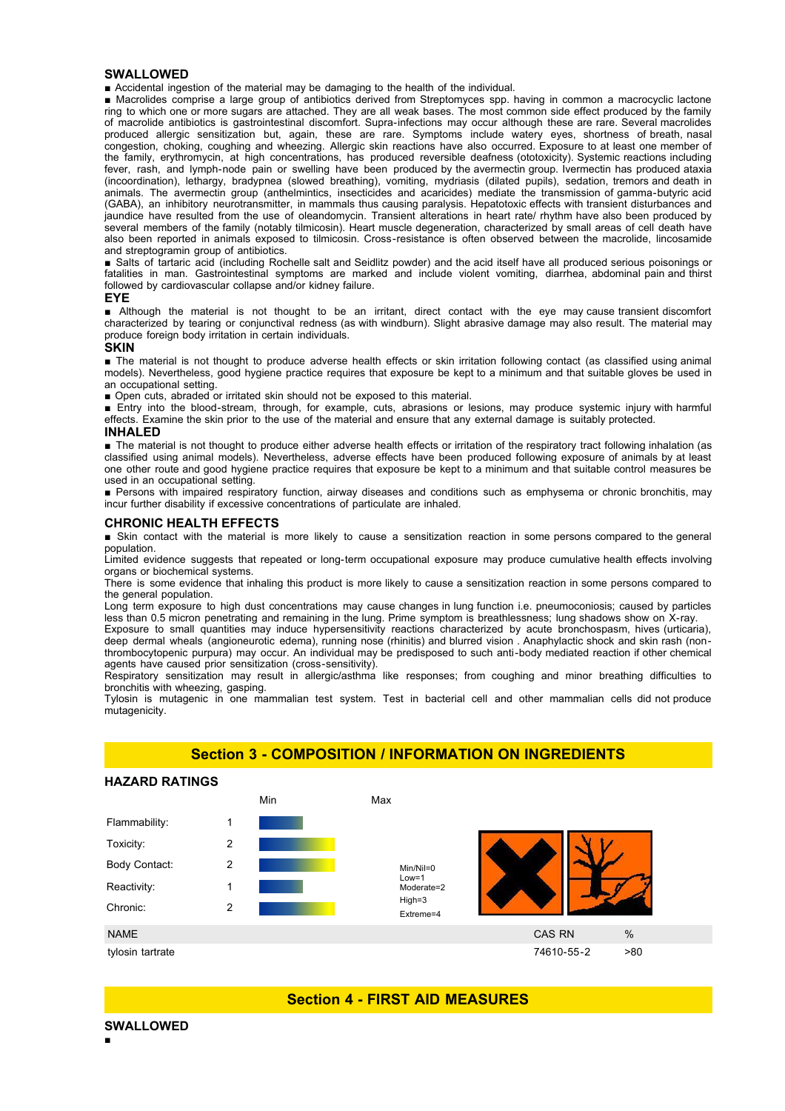#### **SWALLOWED**

■ Accidental ingestion of the material may be damaging to the health of the individual.

■ Macrolides comprise a large group of antibiotics derived from Streptomyces spp. having in common a macrocyclic lactone ring to which one or more sugars are attached. They are all weak bases. The most common side effect produced by the family of macrolide antibiotics is gastrointestinal discomfort. Supra-infections may occur although these are rare. Several macrolides produced allergic sensitization but, again, these are rare. Symptoms include watery eyes, shortness of breath, nasal congestion, choking, coughing and wheezing. Allergic skin reactions have also occurred. Exposure to at least one member of the family, erythromycin, at high concentrations, has produced reversible deafness (ototoxicity). Systemic reactions including fever, rash, and lymph-node pain or swelling have been produced by the avermectin group. Ivermectin has produced ataxia (incoordination), lethargy, bradypnea (slowed breathing), vomiting, mydriasis (dilated pupils), sedation, tremors and death in animals. The avermectin group (anthelmintics, insecticides and acaricides) mediate the transmission of gamma-butyric acid (GABA), an inhibitory neurotransmitter, in mammals thus causing paralysis. Hepatotoxic effects with transient disturbances and jaundice have resulted from the use of oleandomycin. Transient alterations in heart rate/ rhythm have also been produced by several members of the family (notably tilmicosin). Heart muscle degeneration, characterized by small areas of cell death have also been reported in animals exposed to tilmicosin. Cross-resistance is often observed between the macrolide, lincosamide and streptogramin group of antibiotics.

■ Salts of tartaric acid (including Rochelle salt and Seidlitz powder) and the acid itself have all produced serious poisonings or fatalities in man. Gastrointestinal symptoms are marked and include violent vomiting, diarrhea, abdominal pain and thirst followed by cardiovascular collapse and/or kidney failure.

#### **EYE**

■ Although the material is not thought to be an irritant, direct contact with the eye may cause transient discomfort characterized by tearing or conjunctival redness (as with windburn). Slight abrasive damage may also result. The material may produce foreign body irritation in certain individuals.

#### **SKIN**

■ The material is not thought to produce adverse health effects or skin irritation following contact (as classified using animal models). Nevertheless, good hygiene practice requires that exposure be kept to a minimum and that suitable gloves be used in an occupational setting.

■ Open cuts, abraded or irritated skin should not be exposed to this material.

■ Entry into the blood-stream, through, for example, cuts, abrasions or lesions, may produce systemic injury with harmful effects. Examine the skin prior to the use of the material and ensure that any external damage is suitably protected.

#### **INHALED**

■ The material is not thought to produce either adverse health effects or irritation of the respiratory tract following inhalation (as classified using animal models). Nevertheless, adverse effects have been produced following exposure of animals by at least one other route and good hygiene practice requires that exposure be kept to a minimum and that suitable control measures be used in an occupational setting.

■ Persons with impaired respiratory function, airway diseases and conditions such as emphysema or chronic bronchitis, may incur further disability if excessive concentrations of particulate are inhaled.

#### **CHRONIC HEALTH EFFECTS**

■ Skin contact with the material is more likely to cause a sensitization reaction in some persons compared to the general population.

Limited evidence suggests that repeated or long-term occupational exposure may produce cumulative health effects involving organs or biochemical systems.

There is some evidence that inhaling this product is more likely to cause a sensitization reaction in some persons compared to the general population.

Long term exposure to high dust concentrations may cause changes in lung function i.e. pneumoconiosis; caused by particles less than 0.5 micron penetrating and remaining in the lung. Prime symptom is breathlessness; lung shadows show on X-ray.

Exposure to small quantities may induce hypersensitivity reactions characterized by acute bronchospasm, hives (urticaria), deep dermal wheals (angioneurotic edema), running nose (rhinitis) and blurred vision . Anaphylactic shock and skin rash (nonthrombocytopenic purpura) may occur. An individual may be predisposed to such anti-body mediated reaction if other chemical agents have caused prior sensitization (cross-sensitivity).

Respiratory sensitization may result in allergic/asthma like responses; from coughing and minor breathing difficulties to bronchitis with wheezing, gasping.

Tylosin is mutagenic in one mammalian test system. Test in bacterial cell and other mammalian cells did not produce mutagenicity.

# **Section 3 - COMPOSITION / INFORMATION ON INGREDIENTS**

#### **HAZARD RATINGS**



# **Section 4 - FIRST AID MEASURES**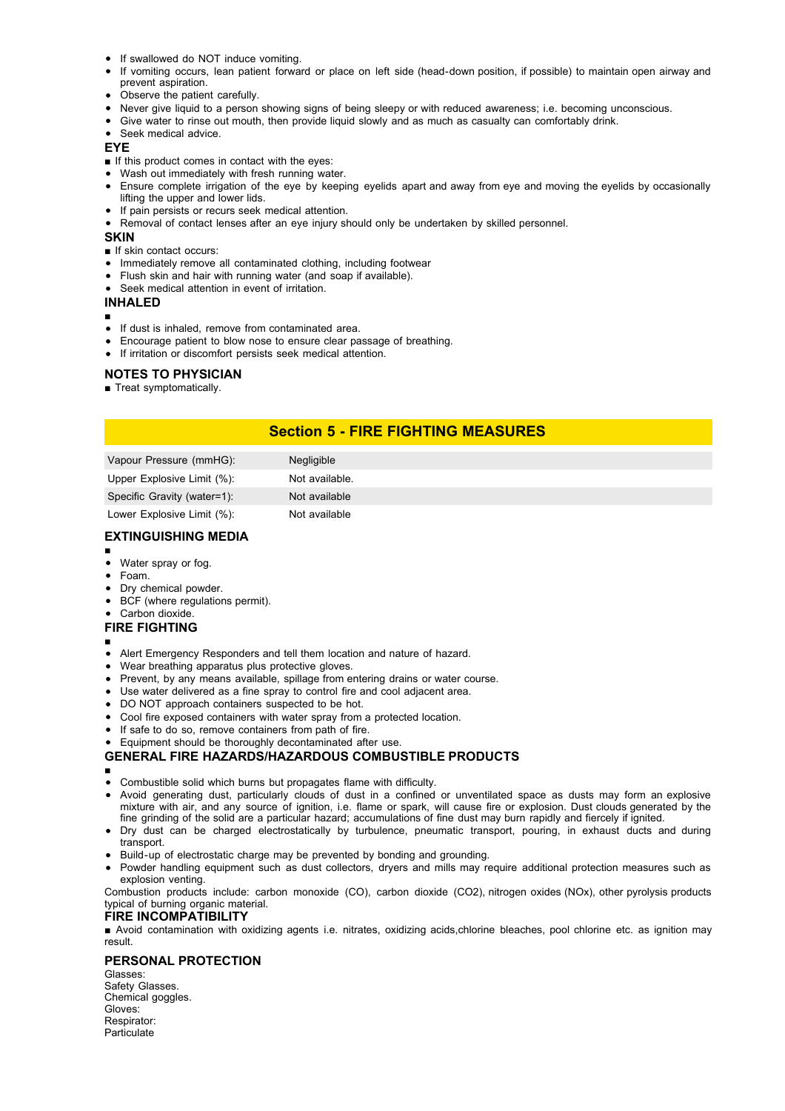- If swallowed do NOT induce vomiting.
- If vomiting occurs, lean patient forward or place on left side (head-down position, if possible) to maintain open airway and prevent aspiration.
- Observe the patient carefully.
- Never give liquid to a person showing signs of being sleepy or with reduced awareness; i.e. becoming unconscious.
- Give water to rinse out mouth, then provide liquid slowly and as much as casualty can comfortably drink.
- Seek medical advice.

**EYE**

- If this product comes in contact with the eyes:
- Wash out immediately with fresh running water.
- Ensure complete irrigation of the eye by keeping eyelids apart and away from eye and moving the eyelids by occasionally lifting the upper and lower lids.
- If pain persists or recurs seek medical attention.
- Removal of contact lenses after an eye injury should only be undertaken by skilled personnel.

**SKIN**

- If skin contact occurs:
- Immediately remove all contaminated clothing, including footwear
- Flush skin and hair with running water (and soap if available).
- Seek medical attention in event of irritation.

# **INHALED**

- ■
- If dust is inhaled, remove from contaminated area.
- Encourage patient to blow nose to ensure clear passage of breathing.
- If irritation or discomfort persists seek medical attention.

# **NOTES TO PHYSICIAN**

■ Treat symptomatically.

# **Section 5 - FIRE FIGHTING MEASURES**

| <b>Negligible</b> |
|-------------------|
| Not available.    |
| Not available     |
| Not available     |
|                   |

# **EXTINGUISHING MEDIA**

- ■
- Water spray or fog.
- Foam.  $\bullet$
- Dry chemical powder.
- BCF (where regulations permit).
- Carbon dioxide.

## **FIRE FIGHTING**

- ■
- Alert Emergency Responders and tell them location and nature of hazard.  $\bullet$
- Wear breathing apparatus plus protective gloves.  $\bullet$
- Prevent, by any means available, spillage from entering drains or water course.
- Use water delivered as a fine spray to control fire and cool adjacent area.
- DO NOT approach containers suspected to be hot.
- Cool fire exposed containers with water spray from a protected location.
- If safe to do so, remove containers from path of fire.
- Equipment should be thoroughly decontaminated after use.

# **GENERAL FIRE HAZARDS/HAZARDOUS COMBUSTIBLE PRODUCTS**

- ■
- Combustible solid which burns but propagates flame with difficulty.
- Avoid generating dust, particularly clouds of dust in a confined or unventilated space as dusts may form an explosive mixture with air, and any source of ignition, i.e. flame or spark, will cause fire or explosion. Dust clouds generated by the fine grinding of the solid are a particular hazard; accumulations of fine dust may burn rapidly and fiercely if ignited.
- Dry dust can be charged electrostatically by turbulence, pneumatic transport, pouring, in exhaust ducts and during transport.
- Build-up of electrostatic charge may be prevented by bonding and grounding.
- Powder handling equipment such as dust collectors, dryers and mills may require additional protection measures such as explosion venting.

Combustion products include: carbon monoxide (CO), carbon dioxide (CO2), nitrogen oxides (NOx), other pyrolysis products typical of burning organic material.

# **FIRE INCOMPATIBILITY**

■ Avoid contamination with oxidizing agents i.e. nitrates, oxidizing acids,chlorine bleaches, pool chlorine etc. as ignition may result.

# **PERSONAL PROTECTION**

Glasses: Safety Glasses. Chemical goggles. Gloves: Respirator: **Particulate**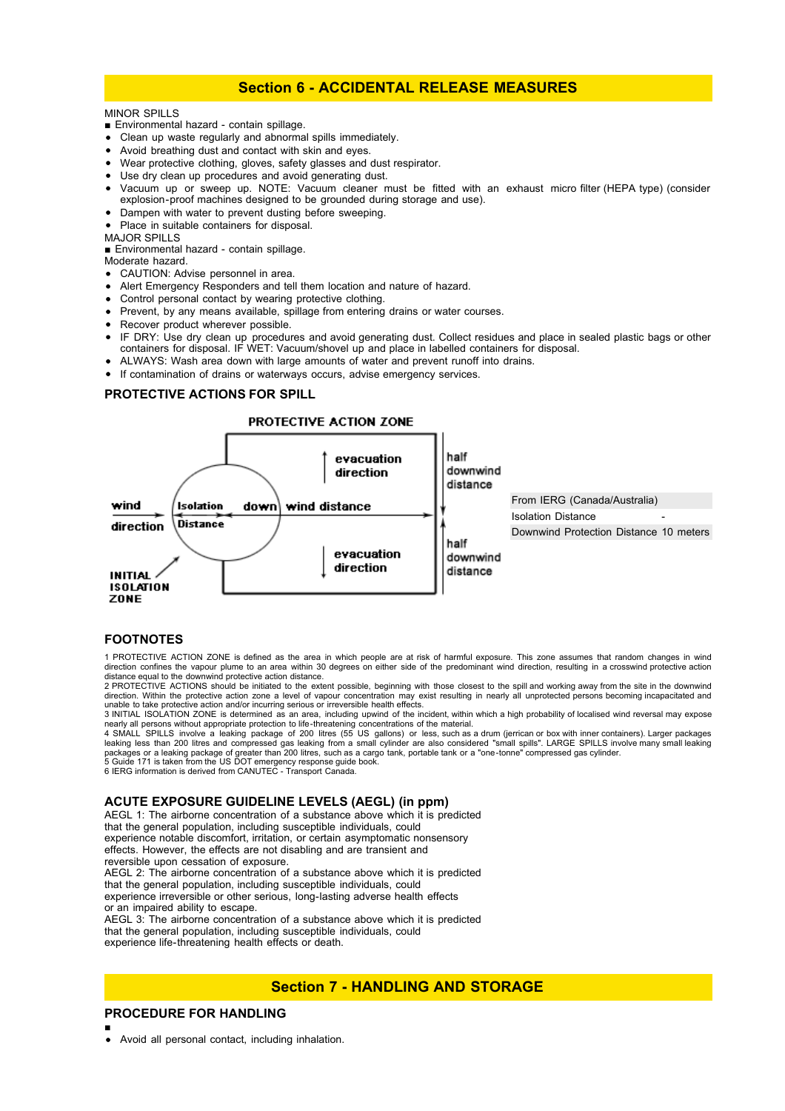# **Section 6 - ACCIDENTAL RELEASE MEASURES**

# MINOR SPILLS

- Environmental hazard contain spillage.
- Clean up waste regularly and abnormal spills immediately.
- Avoid breathing dust and contact with skin and eyes.
- Wear protective clothing, gloves, safety glasses and dust respirator.
- Use dry clean up procedures and avoid generating dust.
- Vacuum up or sweep up. NOTE: Vacuum cleaner must be fitted with an exhaust micro filter (HEPA type) (consider explosion-proof machines designed to be grounded during storage and use).
- Dampen with water to prevent dusting before sweeping.
- Place in suitable containers for disposal.

MAJOR SPILLS

■ Environmental hazard - contain spillage.

- Moderate hazard.
- CAUTION: Advise personnel in area.
- Alert Emergency Responders and tell them location and nature of hazard.
- Control personal contact by wearing protective clothing.
- Prevent, by any means available, spillage from entering drains or water courses.
- Recover product wherever possible.
- IF DRY: Use dry clean up procedures and avoid generating dust. Collect residues and place in sealed plastic bags or other containers for disposal. IF WET: Vacuum/shovel up and place in labelled containers for disposal.
- ALWAYS: Wash area down with large amounts of water and prevent runoff into drains.
- If contamination of drains or waterways occurs, advise emergency services.

#### **PROTECTIVE ACTIONS FOR SPILL**

### PROTECTIVE ACTION ZONE



#### **FOOTNOTES**

1 PROTECTIVE ACTION ZONE is defined as the area in which people are at risk of harmful exposure. This zone assumes that random changes in wind<br>direction confines the vapour plume to an area within 30 degrees on either side

distance equal to the downwind protective action distance. 2 PROTECTIVE ACTIONS should be initiated to the extent possible, beginning with those closest to the spill and working away from the site in the downwind direction. Within the protective action zone a level of vapour concentration may exist resulting in nearly all unprotected persons becoming incapacitated and

unable to take protective action and/or incurring serious or irreversible health effects.<br>3 INITIAL ISOLATION ZONE is determined as an area, including upwind of the incident, within which a high probability of localised wi nearly all persons without appropriate protection to life-threatening concentrations of the material.<br>4 SMALL SPILLS involve a leaking package of 200 litres (55 US gallons) or less, such as a drum (jerrican or bo

leaking less than 200 litres and compressed gas leaking from a small cylinder are also considered "small spills". LARGE SPILLS involve many small leaking packages or a leaking package of greater than 200 litres, such as a cargo tank, portable tank or a "one-tonne" compressed gas cylinder.<br>5 Guide 171 is taken from the US DOT emergency response guide book.<br>6 IERG information

# **ACUTE EXPOSURE GUIDELINE LEVELS (AEGL) (in ppm)**

AEGL 1: The airborne concentration of a substance above which it is predicted that the general population, including susceptible individuals, could experience notable discomfort, irritation, or certain asymptomatic nonsensory effects. However, the effects are not disabling and are transient and reversible upon cessation of exposure. AEGL 2: The airborne concentration of a substance above which it is predicted that the general population, including susceptible individuals, could experience irreversible or other serious, long-lasting adverse health effects or an impaired ability to escape. AEGL  $3\overline{1}$ . The airborne concentration of a substance above which it is predicted that the general population, including susceptible individuals, could experience life-threatening health effects or death.

# **Section 7 - HANDLING AND STORAGE**

# **PROCEDURE FOR HANDLING**

■

Avoid all personal contact, including inhalation.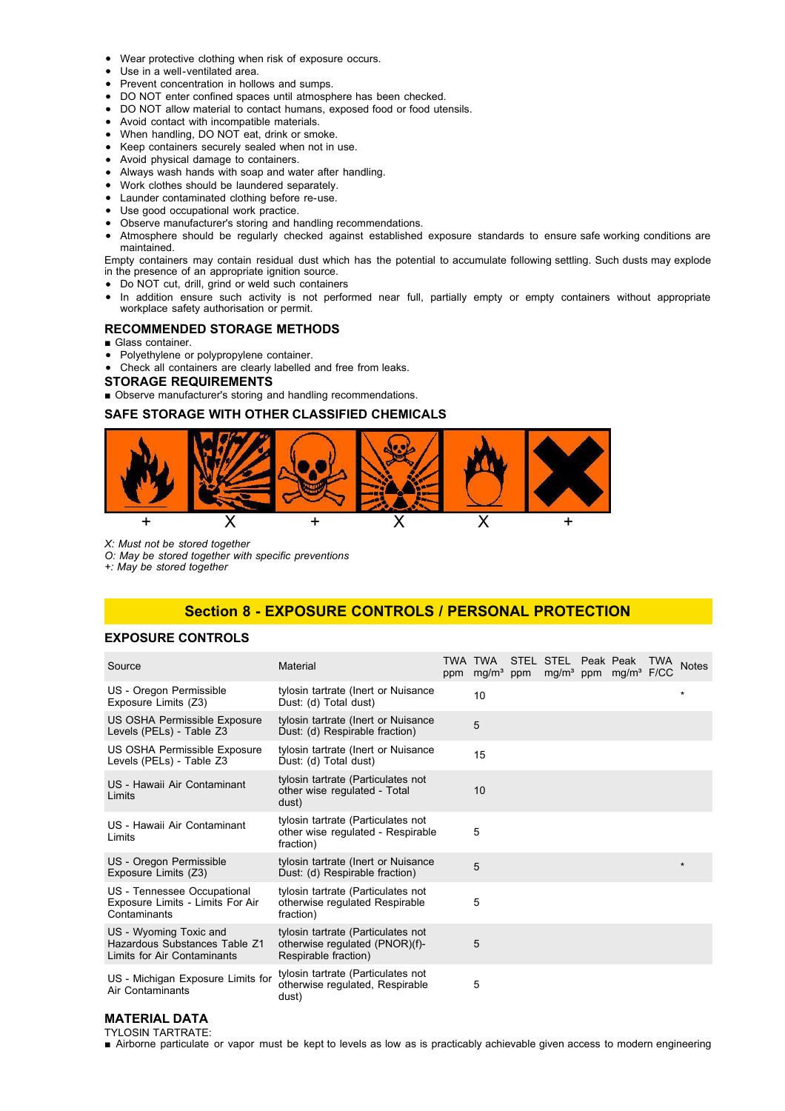- Wear protective clothing when risk of exposure occurs.
- Use in a well-ventilated area.
- Prevent concentration in hollows and sumps.
- DO NOT enter confined spaces until atmosphere has been checked.
- DO NOT allow material to contact humans, exposed food or food utensils.
- Avoid contact with incompatible materials.
- When handling, DO NOT eat, drink or smoke.
- Keep containers securely sealed when not in use.
- Avoid physical damage to containers.
- Always wash hands with soap and water after handling.
- Work clothes should be laundered separately.
- Launder contaminated clothing before re-use.
- Use good occupational work practice.
- Observe manufacturer's storing and handling recommendations.
- Atmosphere should be regularly checked against established exposure standards to ensure safe working conditions are maintained.

Empty containers may contain residual dust which has the potential to accumulate following settling. Such dusts may explode in the presence of an appropriate ignition source.

- Do NOT cut, drill, grind or weld such containers
- In addition ensure such activity is not performed near full, partially empty or empty containers without appropriate workplace safety authorisation or permit.

#### **RECOMMENDED STORAGE METHODS**

- Glass container
- Polyethylene or polypropylene container.  $\bullet$
- Check all containers are clearly labelled and free from leaks.

#### **STORAGE REQUIREMENTS**

■ Observe manufacturer's storing and handling recommendations.

#### **SAFE STORAGE WITH OTHER CLASSIFIED CHEMICALS**



*X: Must not be stored together*

*O: May be stored together with specific preventions*

*+: May be stored together*

# **Section 8 - EXPOSURE CONTROLS / PERSONAL PROTECTION**

### **EXPOSURE CONTROLS**

| Source                                                                                 | Material                                                                                     | ppm | TWA TWA STEL STEL Peak Peak<br>$mg/m3$ ppm |  | mg/m <sup>3</sup> ppm mg/m <sup>3</sup> F/CC | <b>TWA</b> | <b>Notes</b> |
|----------------------------------------------------------------------------------------|----------------------------------------------------------------------------------------------|-----|--------------------------------------------|--|----------------------------------------------|------------|--------------|
| US - Oregon Permissible<br>Exposure Limits (Z3)                                        | tylosin tartrate (Inert or Nuisance<br>Dust: (d) Total dust)                                 |     | 10                                         |  |                                              |            | $\star$      |
| US OSHA Permissible Exposure<br>Levels (PELs) - Table Z3                               | tylosin tartrate (Inert or Nuisance<br>Dust: (d) Respirable fraction)                        |     | 5                                          |  |                                              |            |              |
| US OSHA Permissible Exposure<br>Levels (PELs) - Table Z3                               | tylosin tartrate (Inert or Nuisance<br>Dust: (d) Total dust)                                 |     | 15                                         |  |                                              |            |              |
| US - Hawaii Air Contaminant<br>Limits                                                  | tylosin tartrate (Particulates not<br>other wise regulated - Total<br>dust)                  |     | 10                                         |  |                                              |            |              |
| US - Hawaii Air Contaminant<br>Limits                                                  | tylosin tartrate (Particulates not<br>other wise regulated - Respirable<br>fraction)         |     | 5                                          |  |                                              |            |              |
| US - Oregon Permissible<br>Exposure Limits (Z3)                                        | tylosin tartrate (Inert or Nuisance<br>Dust: (d) Respirable fraction)                        |     | 5                                          |  |                                              |            | $\star$      |
| US - Tennessee Occupational<br>Exposure Limits - Limits For Air<br>Contaminants        | tylosin tartrate (Particulates not<br>otherwise regulated Respirable<br>fraction)            |     | 5                                          |  |                                              |            |              |
| US - Wyoming Toxic and<br>Hazardous Substances Table Z1<br>Limits for Air Contaminants | tylosin tartrate (Particulates not<br>otherwise regulated (PNOR)(f)-<br>Respirable fraction) |     | 5                                          |  |                                              |            |              |
| US - Michigan Exposure Limits for<br>Air Contaminants                                  | tylosin tartrate (Particulates not<br>otherwise regulated, Respirable<br>dust)               |     | 5                                          |  |                                              |            |              |

#### **MATERIAL DATA** TYLOSIN TARTRATE:

■ Airborne particulate or vapor must be kept to levels as low as is practicably achievable given access to modern engineering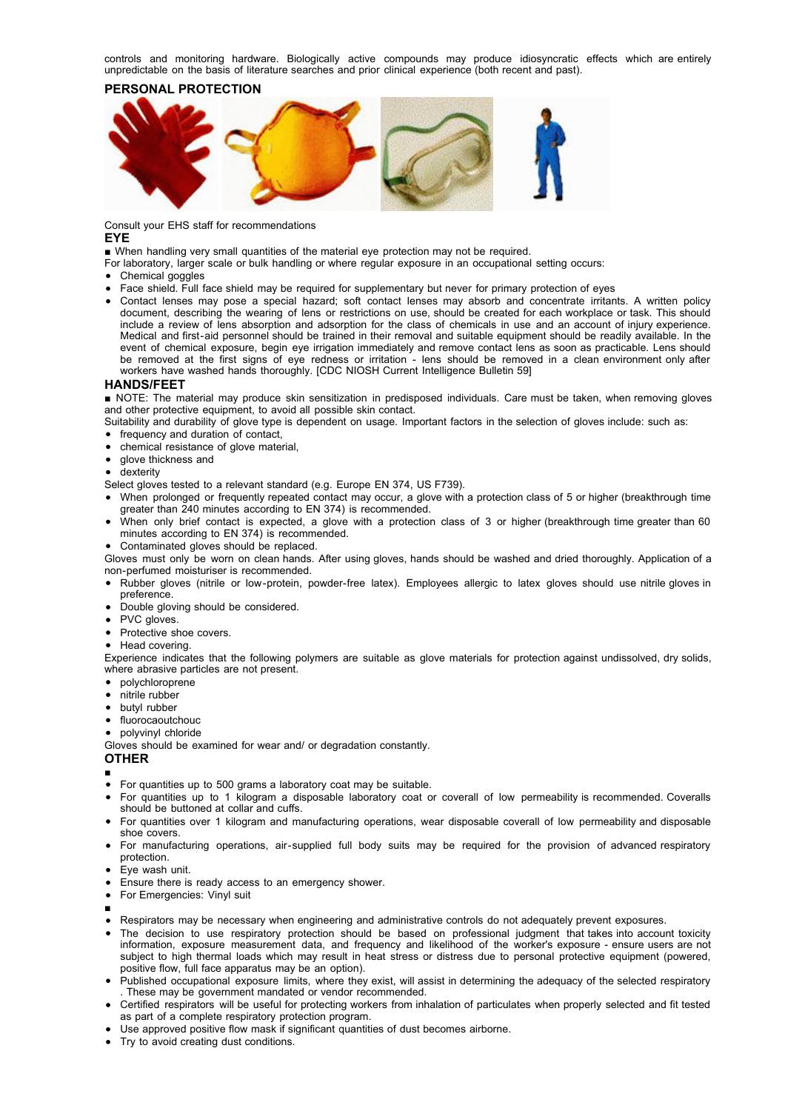controls and monitoring hardware. Biologically active compounds may produce idiosyncratic effects which are entirely unpredictable on the basis of literature searches and prior clinical experience (both recent and past).

# **PERSONAL PROTECTION**



Consult your EHS staff for recommendations

#### **EYE**

■ When handling very small quantities of the material eye protection may not be required.

- For laboratory, larger scale or bulk handling or where regular exposure in an occupational setting occurs:
- Chemical goggles
- Face shield. Full face shield may be required for supplementary but never for primary protection of eyes
- Contact lenses may pose a special hazard; soft contact lenses may absorb and concentrate irritants. A written policy document, describing the wearing of lens or restrictions on use, should be created for each workplace or task. This should include a review of lens absorption and adsorption for the class of chemicals in use and an account of injury experience. Medical and first-aid personnel should be trained in their removal and suitable equipment should be readily available. In the event of chemical exposure, begin eye irrigation immediately and remove contact lens as soon as practicable. Lens should be removed at the first signs of eye redness or irritation - lens should be removed in a clean environment only after workers have washed hands thoroughly. [CDC NIOSH Current Intelligence Bulletin 59]

#### **HANDS/FEET**

■ NOTE: The material may produce skin sensitization in predisposed individuals. Care must be taken, when removing gloves and other protective equipment, to avoid all possible skin contact.

Suitability and durability of glove type is dependent on usage. Important factors in the selection of gloves include: such as:

- frequency and duration of contact,
- chemical resistance of glove material,
- glove thickness and
- dexterity

Select gloves tested to a relevant standard (e.g. Europe EN 374, US F739).

- When prolonged or frequently repeated contact may occur, a glove with a protection class of 5 or higher (breakthrough time greater than 240 minutes according to EN 374) is recommended.
- When only brief contact is expected, a glove with a protection class of 3 or higher (breakthrough time greater than 60 minutes according to EN 374) is recommended.
- Contaminated gloves should be replaced.

Gloves must only be worn on clean hands. After using gloves, hands should be washed and dried thoroughly. Application of a non-perfumed moisturiser is recommended.

- Rubber gloves (nitrile or low-protein, powder-free latex). Employees allergic to latex gloves should use nitrile gloves in preference.
- Double gloving should be considered.
- PVC gloves.
- Protective shoe covers.

• Head covering.

Experience indicates that the following polymers are suitable as glove materials for protection against undissolved, dry solids, where abrasive particles are not present.

- $\bullet$  polychloroprene
- nitrile rubber
- butyl rubber
- fluorocaoutchouc
- polyvinyl chloride

Gloves should be examined for wear and/ or degradation constantly.

#### **OTHER**

- ■
- For quantities up to 500 grams a laboratory coat may be suitable.
- For quantities up to 1 kilogram a disposable laboratory coat or coverall of low permeability is recommended. Coveralls should be buttoned at collar and cuffs.
- For quantities over 1 kilogram and manufacturing operations, wear disposable coverall of low permeability and disposable shoe covers.
- For manufacturing operations, air-supplied full body suits may be required for the provision of advanced respiratory protection.
- Eye wash unit.
- Ensure there is ready access to an emergency shower.
- For Emergencies: Vinyl suit
- ■
- Respirators may be necessary when engineering and administrative controls do not adequately prevent exposures.
- The decision to use respiratory protection should be based on professional judgment that takes into account toxicity information, exposure measurement data, and frequency and likelihood of the worker's exposure - ensure users are not subject to high thermal loads which may result in heat stress or distress due to personal protective equipment (powered, positive flow, full face apparatus may be an option).
- Published occupational exposure limits, where they exist, will assist in determining the adequacy of the selected respiratory . These may be government mandated or vendor recommended.
- Certified respirators will be useful for protecting workers from inhalation of particulates when properly selected and fit tested as part of a complete respiratory protection program.
- Use approved positive flow mask if significant quantities of dust becomes airborne.
- Try to avoid creating dust conditions.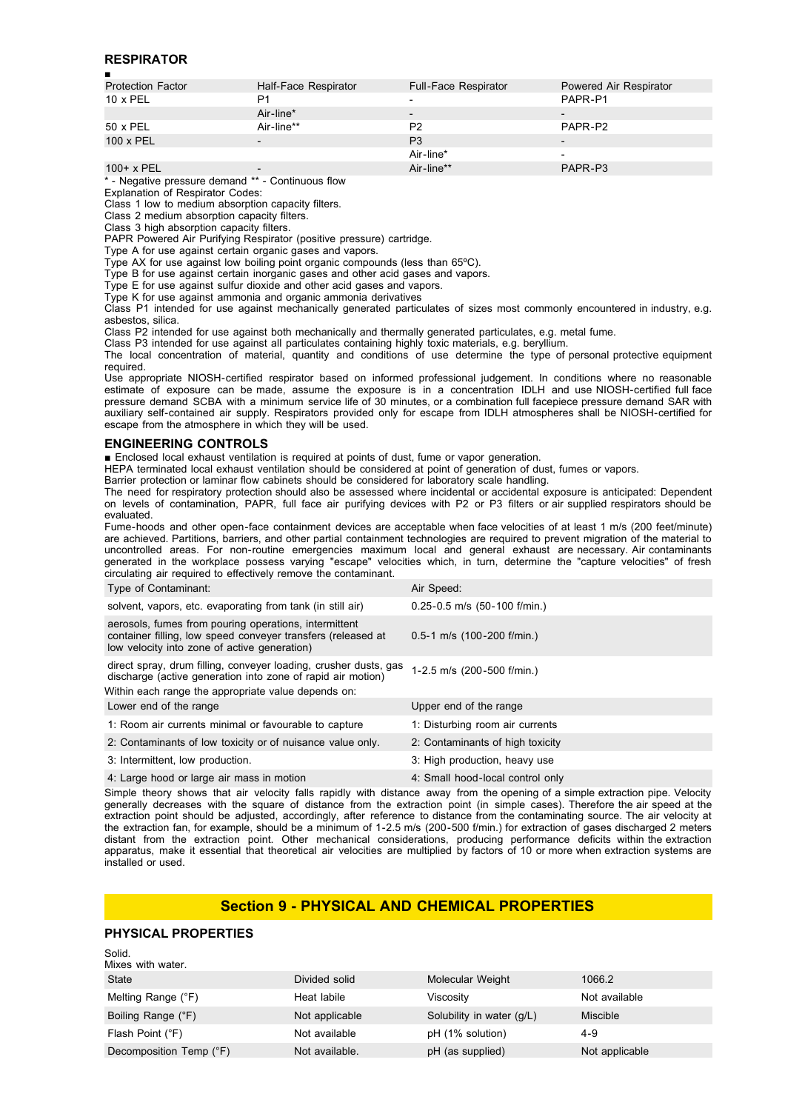# **RESPIRATOR**

| п                        |                          |                      |                          |
|--------------------------|--------------------------|----------------------|--------------------------|
| <b>Protection Factor</b> | Half-Face Respirator     | Full-Face Respirator | Powered Air Respirator   |
| $10 \times PEL$          | P1                       |                      | PAPR-P1                  |
|                          | Air-line*                |                      | $\overline{\phantom{0}}$ |
| 50 x PEL                 | Air-line**               | P <sub>2</sub>       | PAPR-P2                  |
| 100 x PEL                |                          | P <sub>3</sub>       | $\overline{\phantom{0}}$ |
|                          |                          | Air-line*            | $\overline{\phantom{0}}$ |
| $100+ x$ PEL             | $\overline{\phantom{0}}$ | Air-line**           | PAPR-P3                  |
|                          |                          |                      |                          |

\* - Negative pressure demand \*\* - Continuous flow

Explanation of Respirator Codes: Class 1 low to medium absorption capacity filters.

Class 2 medium absorption capacity filters.

Class 3 high absorption capacity filters.

PAPR Powered Air Purifying Respirator (positive pressure) cartridge.

Type A for use against certain organic gases and vapors.

Type AX for use against low boiling point organic compounds (less than 65ºC).

Type B for use against certain inorganic gases and other acid gases and vapors.

Type E for use against sulfur dioxide and other acid gases and vapors.

Type K for use against ammonia and organic ammonia derivatives

Class P1 intended for use against mechanically generated particulates of sizes most commonly encountered in industry, e.g. asbestos, silica.

Class P2 intended for use against both mechanically and thermally generated particulates, e.g. metal fume.

Class P3 intended for use against all particulates containing highly toxic materials, e.g. beryllium.

The local concentration of material, quantity and conditions of use determine the type of personal protective equipment required.

Use appropriate NIOSH-certified respirator based on informed professional judgement. In conditions where no reasonable estimate of exposure can be made, assume the exposure is in a concentration IDLH and use NIOSH-certified full face pressure demand SCBA with a minimum service life of 30 minutes, or a combination full facepiece pressure demand SAR with auxiliary self-contained air supply. Respirators provided only for escape from IDLH atmospheres shall be NIOSH-certified for escape from the atmosphere in which they will be used.

#### **ENGINEERING CONTROLS**

■ Enclosed local exhaust ventilation is required at points of dust, fume or vapor generation.

HEPA terminated local exhaust ventilation should be considered at point of generation of dust, fumes or vapors.

Barrier protection or laminar flow cabinets should be considered for laboratory scale handling.

The need for respiratory protection should also be assessed where incidental or accidental exposure is anticipated: Dependent on levels of contamination, PAPR, full face air purifying devices with P2 or P3 filters or air supplied respirators should be evaluated.

Fume-hoods and other open-face containment devices are acceptable when face velocities of at least 1 m/s (200 feet/minute) are achieved. Partitions, barriers, and other partial containment technologies are required to prevent migration of the material to uncontrolled areas. For non-routine emergencies maximum local and general exhaust are necessary. Air contaminants generated in the workplace possess varying "escape" velocities which, in turn, determine the "capture velocities" of fresh circulating air required to effectively remove the contaminant.

| Type of Contaminant:                                                                                                                                                                   | Air Speed:                       |
|----------------------------------------------------------------------------------------------------------------------------------------------------------------------------------------|----------------------------------|
| solvent, vapors, etc. evaporating from tank (in still air)                                                                                                                             | $0.25 - 0.5$ m/s (50-100 f/min.) |
| aerosols, fumes from pouring operations, intermittent<br>container filling, low speed conveyer transfers (released at<br>low velocity into zone of active generation)                  | $0.5-1$ m/s (100-200 f/min.)     |
| direct spray, drum filling, conveyer loading, crusher dusts, gas<br>discharge (active generation into zone of rapid air motion)<br>Within each range the appropriate value depends on: | 1-2.5 m/s (200-500 f/min.)       |
| Lower end of the range                                                                                                                                                                 | Upper end of the range           |
| 1: Room air currents minimal or favourable to capture                                                                                                                                  | 1: Disturbing room air currents  |
| 2: Contaminants of low toxicity or of nuisance value only.                                                                                                                             | 2: Contaminants of high toxicity |
| 3: Intermittent, low production.                                                                                                                                                       | 3: High production, heavy use    |
| 4: Large hood or large air mass in motion                                                                                                                                              | 4: Small hood-local control only |

Simple theory shows that air velocity falls rapidly with distance away from the opening of a simple extraction pipe. Velocity generally decreases with the square of distance from the extraction point (in simple cases). Therefore the air speed at the extraction point should be adjusted, accordingly, after reference to distance from the contaminating source. The air velocity at the extraction fan, for example, should be a minimum of 1-2.5 m/s (200-500 f/min.) for extraction of gases discharged 2 meters distant from the extraction point. Other mechanical considerations, producing performance deficits within the extraction apparatus, make it essential that theoretical air velocities are multiplied by factors of 10 or more when extraction systems are installed or used.

# **Section 9 - PHYSICAL AND CHEMICAL PROPERTIES**

# **PHYSICAL PROPERTIES**

| Solid.                  |                |                           |                |
|-------------------------|----------------|---------------------------|----------------|
| Mixes with water.       |                |                           |                |
| State                   | Divided solid  | Molecular Weight          | 1066.2         |
| Melting Range (°F)      | Heat labile    | Viscosity                 | Not available  |
| Boiling Range (°F)      | Not applicable | Solubility in water (g/L) | Miscible       |
| Flash Point (°F)        | Not available  | pH (1% solution)          | $4 - 9$        |
| Decomposition Temp (°F) | Not available. | pH (as supplied)          | Not applicable |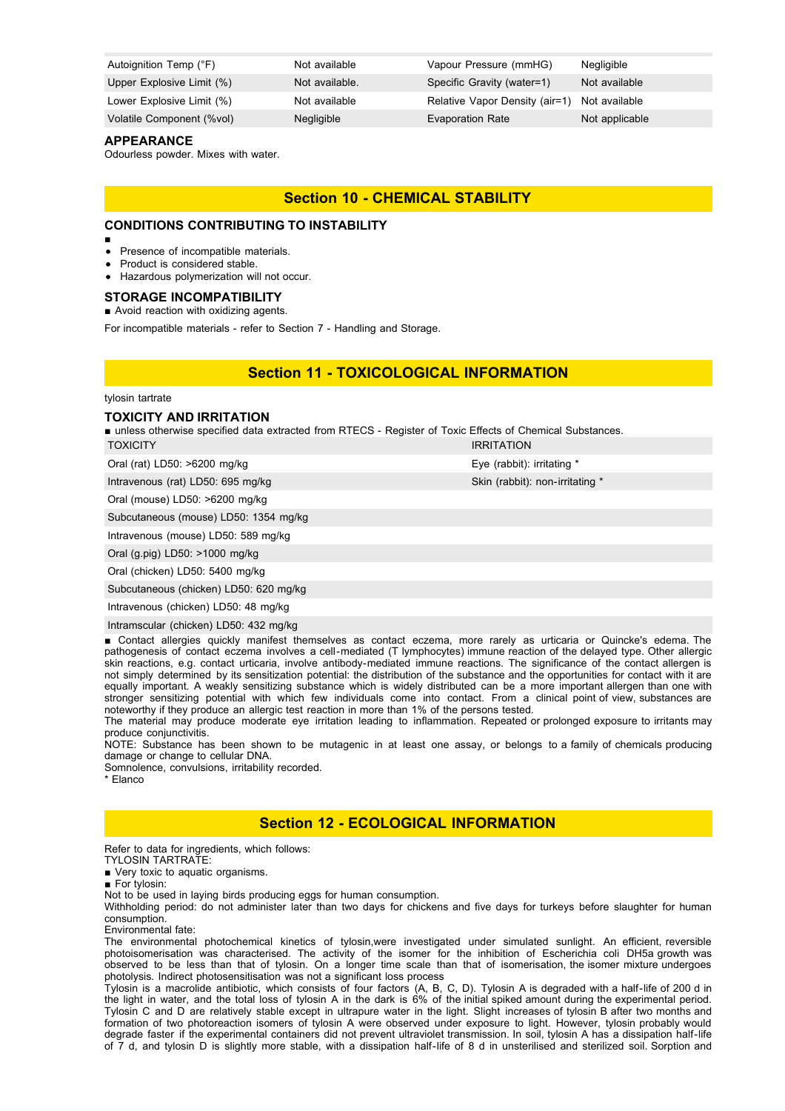| Autoignition Temp (°F)    | Not available  | Vapour Pressure (mmHG)                       | <b>Negligible</b> |
|---------------------------|----------------|----------------------------------------------|-------------------|
| Upper Explosive Limit (%) | Not available. | Specific Gravity (water=1)                   | Not available     |
| Lower Explosive Limit (%) | Not available  | Relative Vapor Density (air=1) Not available |                   |
| Volatile Component (%vol) | Negligible     | <b>Evaporation Rate</b>                      | Not applicable    |

#### **APPEARANCE**

Odourless powder. Mixes with water.

# **Section 10 - CHEMICAL STABILITY**

# **CONDITIONS CONTRIBUTING TO INSTABILITY**

- Presence of incompatible materials.
- Product is considered stable.
- Hazardous polymerization will not occur.

# **STORAGE INCOMPATIBILITY**

■ Avoid reaction with oxidizing agents.

For incompatible materials - refer to Section 7 - Handling and Storage.

# **Section 11 - TOXICOLOGICAL INFORMATION**

#### tylosin tartrate

#### **TOXICITY AND IRRITATION**

■ unless otherwise specified data extracted from RTECS - Register of Toxic Effects of Chemical Substances.

| $O(2)$ (rat) $I(56)$ >6200 malka |  |  |
|----------------------------------|--|--|

Oral (mouse) LD50: >6200 mg/kg

Subcutaneous (mouse) LD50: 1354 mg/kg

Intravenous (mouse) LD50: 589 mg/kg

Oral (g.pig) LD50: >1000 mg/kg

Oral (chicken) LD50: 5400 mg/kg

Subcutaneous (chicken) LD50: 620 mg/kg

Intravenous (chicken) LD50: 48 mg/kg

Intramscular (chicken) LD50: 432 mg/kg

■ Contact allergies quickly manifest themselves as contact eczema, more rarely as urticaria or Quincke's edema. The pathogenesis of contact eczema involves a cell-mediated (T lymphocytes) immune reaction of the delayed type. Other allergic skin reactions, e.g. contact urticaria, involve antibody-mediated immune reactions. The significance of the contact allergen is not simply determined by its sensitization potential: the distribution of the substance and the opportunities for contact with it are equally important. A weakly sensitizing substance which is widely distributed can be a more important allergen than one with stronger sensitizing potential with which few individuals come into contact. From a clinical point of view, substances are noteworthy if they produce an allergic test reaction in more than 1% of the persons tested.

The material may produce moderate eye irritation leading to inflammation. Repeated or prolonged exposure to irritants may produce conjunctivitis.

NOTE: Substance has been shown to be mutagenic in at least one assay, or belongs to a family of chemicals producing damage or change to cellular DNA.

Somnolence, convulsions, irritability recorded.

\* Elanco

# **Section 12 - ECOLOGICAL INFORMATION**

Refer to data for ingredients, which follows: TYLOSIN TARTRATE:

■ Very toxic to aquatic organisms.

■ For tylosin:

Not to be used in laying birds producing eggs for human consumption.

Withholding period: do not administer later than two days for chickens and five days for turkeys before slaughter for human consumption.

Environmental fate:

The environmental photochemical kinetics of tylosin,were investigated under simulated sunlight. An efficient, reversible photoisomerisation was characterised. The activity of the isomer for the inhibition of Escherichia coli DH5a growth was observed to be less than that of tylosin. On a longer time scale than that of isomerisation, the isomer mixture undergoes photolysis. Indirect photosensitisation was not a significant loss process

Tylosin is a macrolide antibiotic, which consists of four factors (A, B, C, D). Tylosin A is degraded with a half-life of 200 d in the light in water, and the total loss of tylosin A in the dark is 6% of the initial spiked amount during the experimental period. Tylosin C and D are relatively stable except in ultrapure water in the light. Slight increases of tylosin B after two months and formation of two photoreaction isomers of tylosin A were observed under exposure to light. However, tylosin probably would degrade faster if the experimental containers did not prevent ultraviolet transmission. In soil, tylosin A has a dissipation half-life of 7 d, and tylosin D is slightly more stable, with a dissipation half-life of 8 d in unsterilised and sterilized soil. Sorption and

TOXICITY IRRITATION Oral (rat) LD50: >6200 mg/kg extending the extendion of the Eye (rabbit): irritating \* Intravenous (rat) LD50: 695 mg/kg Skin (rabbit): non-irritating \*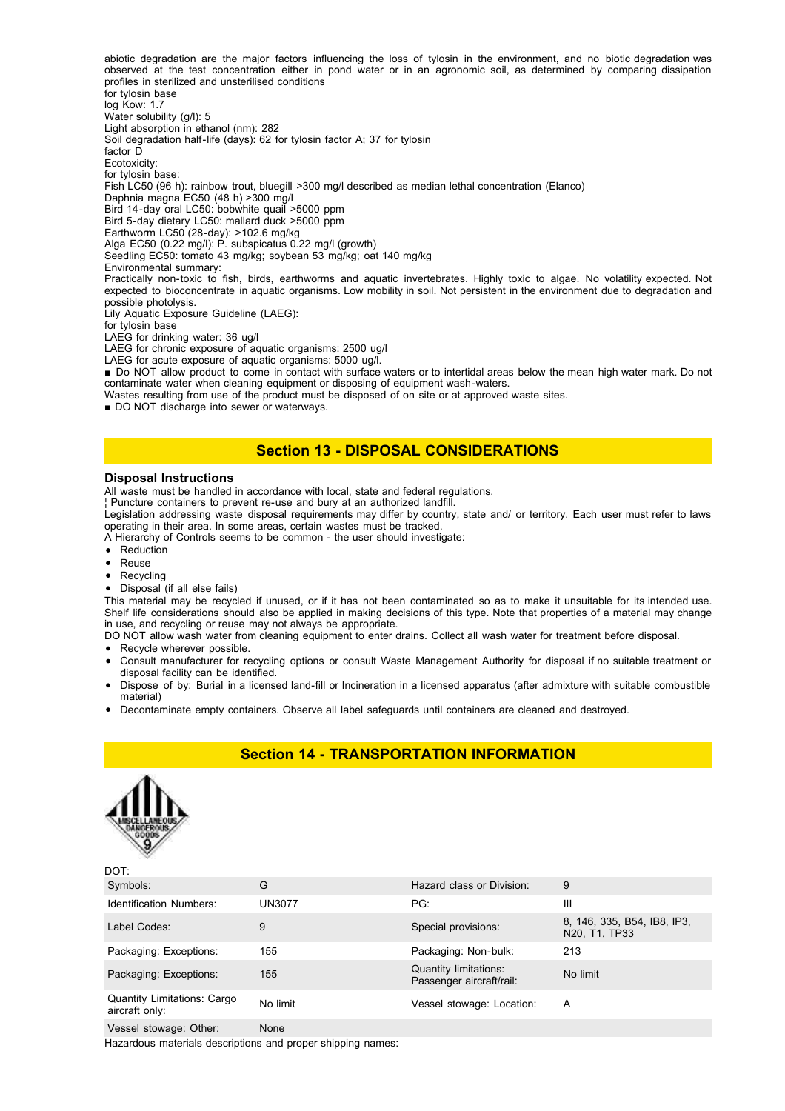abiotic degradation are the major factors influencing the loss of tylosin in the environment, and no biotic degradation was observed at the test concentration either in pond water or in an agronomic soil, as determined by comparing dissipation profiles in sterilized and unsterilised conditions for tylosin base log Kow: 1.7 Water solubility (g/l): 5 Light absorption in ethanol (nm): 282 Soil degradation half-life (days): 62 for tylosin factor A; 37 for tylosin factor D Ecotoxicity: for tylosin base: Fish LC50 (96 h): rainbow trout, bluegill >300 mg/l described as median lethal concentration (Elanco) Daphnia magna EC50 (48 h) >300 mg/l Bird 14-day oral LC50: bobwhite quail >5000 ppm Bird 5-day dietary LC50: mallard duck >5000 ppm Earthworm LC50 (28-day): >102.6 mg/kg Alga EC50 (0.22 mg/l): P. subspicatus 0.22 mg/l (growth) Seedling EC50: tomato 43 mg/kg; soybean 53 mg/kg; oat 140 mg/kg Environmental summary: Practically non-toxic to fish, birds, earthworms and aquatic invertebrates. Highly toxic to algae. No volatility expected. Not expected to bioconcentrate in aquatic organisms. Low mobility in soil. Not persistent in the environment due to degradation and possible photolysis. Lily Aquatic Exposure Guideline (LAEG): for tylosin base LAEG for drinking water: 36 ug/l LAEG for chronic exposure of aquatic organisms: 2500 ug/l LAEG for acute exposure of aquatic organisms: 5000 ug/l.

■ Do NOT allow product to come in contact with surface waters or to intertidal areas below the mean high water mark. Do not contaminate water when cleaning equipment or disposing of equipment wash-waters.

Wastes resulting from use of the product must be disposed of on site or at approved waste sites.

■ DO NOT discharge into sewer or waterways.

# **Section 13 - DISPOSAL CONSIDERATIONS**

#### **Disposal Instructions**

All waste must be handled in accordance with local, state and federal regulations.

¦ Puncture containers to prevent re-use and bury at an authorized landfill.

Legislation addressing waste disposal requirements may differ by country, state and/ or territory. Each user must refer to laws operating in their area. In some areas, certain wastes must be tracked.

A Hierarchy of Controls seems to be common - the user should investigate:

- Reduction
- $\bullet$ Reuse
- Recycling
- Disposal (if all else fails)

This material may be recycled if unused, or if it has not been contaminated so as to make it unsuitable for its intended use. Shelf life considerations should also be applied in making decisions of this type. Note that properties of a material may change in use, and recycling or reuse may not always be appropriate.

DO NOT allow wash water from cleaning equipment to enter drains. Collect all wash water for treatment before disposal.

- Recycle wherever possible.
- Consult manufacturer for recycling options or consult Waste Management Authority for disposal if no suitable treatment or disposal facility can be identified.
- Dispose of by: Burial in a licensed land-fill or Incineration in a licensed apparatus (after admixture with suitable combustible material)

**Section 14 - TRANSPORTATION INFORMATION**

Decontaminate empty containers. Observe all label safeguards until containers are cleaned and destroyed.



 $DOT$ 

| Symbols:                                             | G             | Hazard class or Division:                         | 9                                                                                  |
|------------------------------------------------------|---------------|---------------------------------------------------|------------------------------------------------------------------------------------|
| <b>Identification Numbers:</b>                       | <b>UN3077</b> | PG:                                               | Ш                                                                                  |
| Label Codes:                                         | 9             | Special provisions:                               | 8, 146, 335, B54, IB8, IP3,<br>N <sub>20</sub> , T <sub>1</sub> , TP <sub>33</sub> |
| Packaging: Exceptions:                               | 155           | Packaging: Non-bulk:                              | 213                                                                                |
| Packaging: Exceptions:                               | 155           | Quantity limitations:<br>Passenger aircraft/rail: | No limit                                                                           |
| <b>Quantity Limitations: Cargo</b><br>aircraft only: | No limit      | Vessel stowage: Location:                         | A                                                                                  |
|                                                      |               |                                                   |                                                                                    |

Vessel stowage: Other: None

Hazardous materials descriptions and proper shipping names: